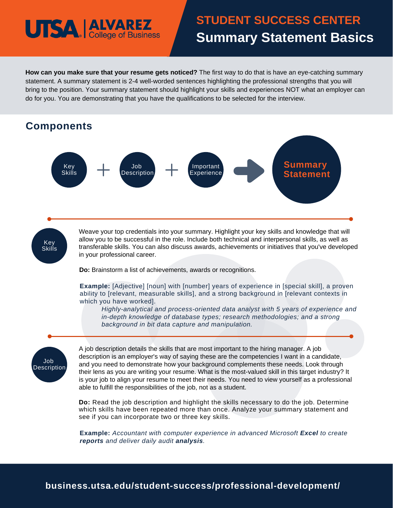## **UTSA | ALVAREZ**

### **Summary Statement Basics STUDENT SUCCESS CENTER Summary Statement Basics**

**How can you make sure that your resume gets noticed?** The first way to do that is have an eye-catching summary statement. A summary statement is 2-4 well-worded sentences highlighting the professional strengths that you will bring to the position. Your summary statement should highlight your skills and experiences NOT what an employer can do for you. You are demonstrating that you have the qualifications to be selected for the interview.



**Example:** *Accountant with computer experience in advanced Microsoft Excel to create reports and deliver daily audit analysis.*